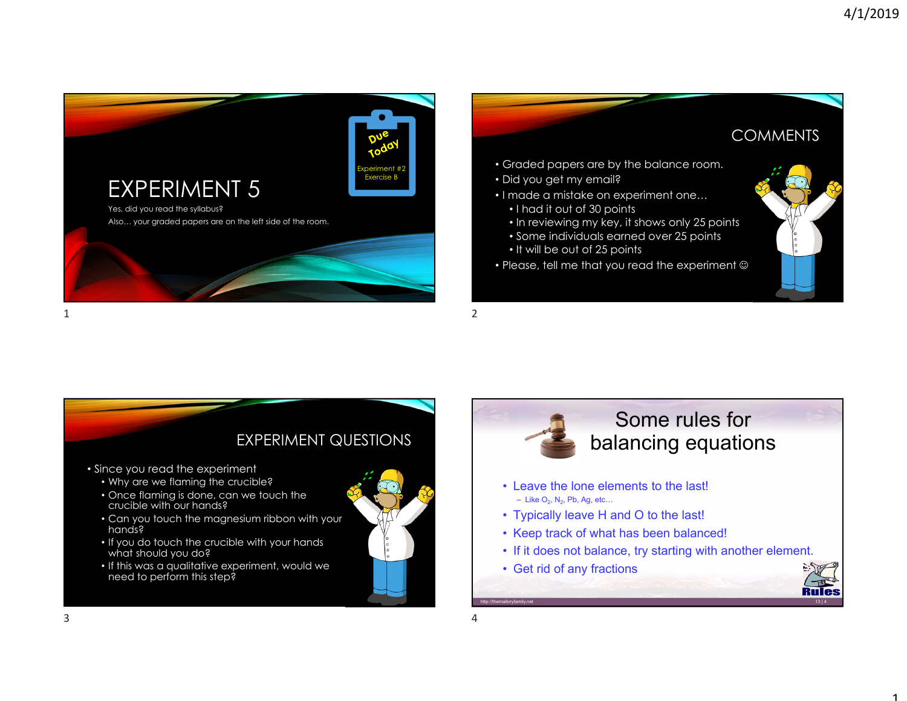1





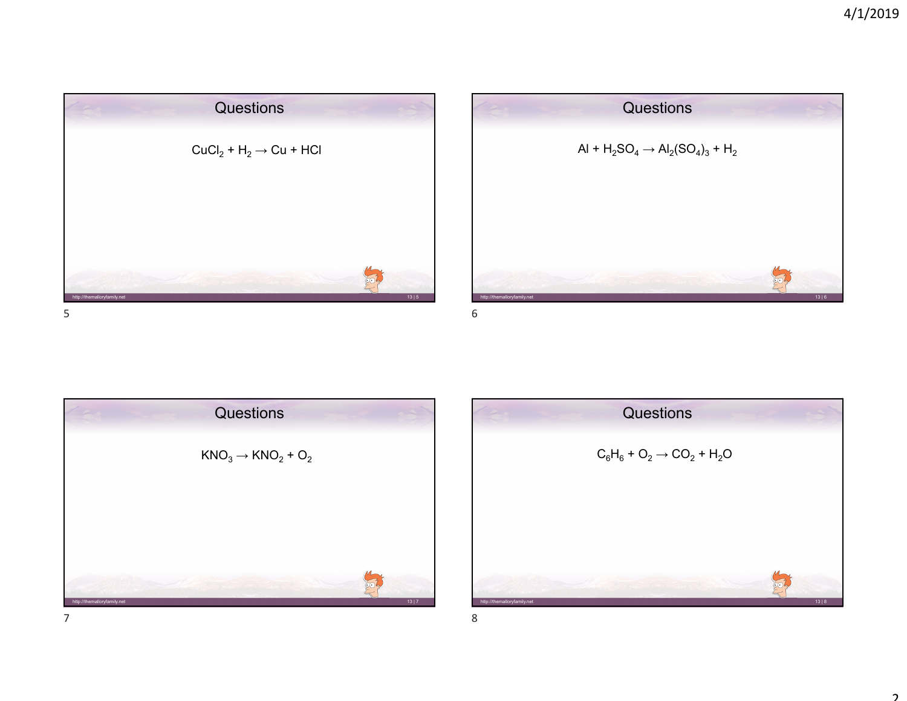





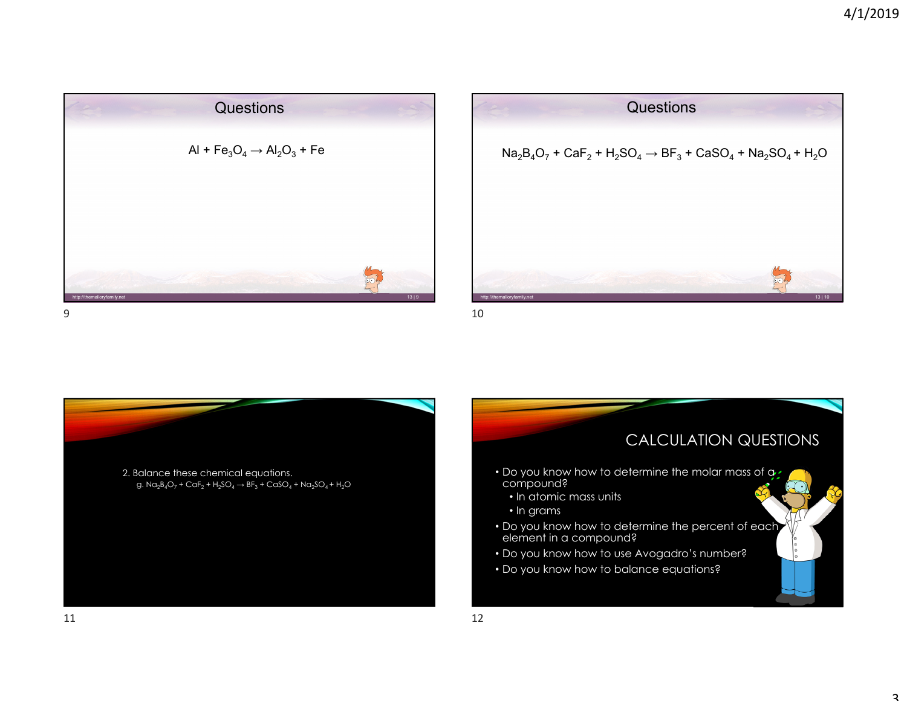